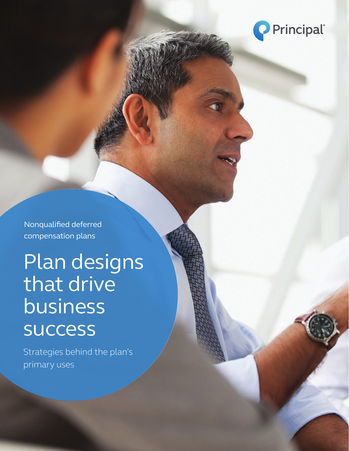

Nonqualified deferred compensation plans

Plan designs that drive business success

Strategies behind the plan's primary uses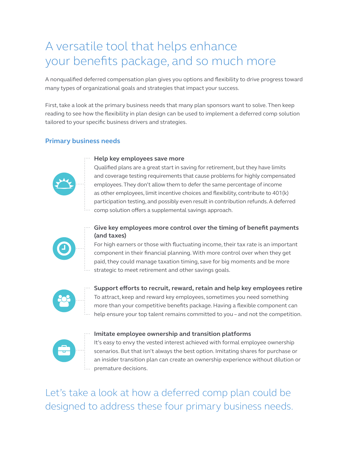### A versatile tool that helps enhance your benefits package, and so much more

A nonqualified deferred compensation plan gives you options and flexibility to drive progress toward many types of organizational goals and strategies that impact your success.

First, take a look at the primary business needs that many plan sponsors want to solve. Then keep reading to see how the flexibility in plan design can be used to implement a deferred comp solution tailored to your specific business drivers and strategies.

### **Primary business needs**



### **Help key employees save more**

Qualified plans are a great start in saving for retirement, but they have limits and coverage testing requirements that cause problems for highly compensated employees. They don't allow them to defer the same percentage of income as other employees, limit incentive choices and flexibility, contribute to 401(k) participation testing, and possibly even result in contribution refunds. A deferred comp solution offers a supplemental savings approach.



### **Give key employees more control over the timing of benefit payments (and taxes)**

For high earners or those with fluctuating income, their tax rate is an important component in their financial planning. With more control over when they get paid, they could manage taxation timing, save for big moments and be more strategic to meet retirement and other savings goals.



**Support efforts to recruit, reward, retain and help key employees retire** To attract, keep and reward key employees, sometimes you need something more than your competitive benefits package. Having a flexible component can help ensure your top talent remains committed to you – and not the competition.



### **Imitate employee ownership and transition platforms**

It's easy to envy the vested interest achieved with formal employee ownership scenarios. But that isn't always the best option. Imitating shares for purchase or an insider transition plan can create an ownership experience without dilution or premature decisions.

Let's take a look at how a deferred comp plan could be designed to address these four primary business needs.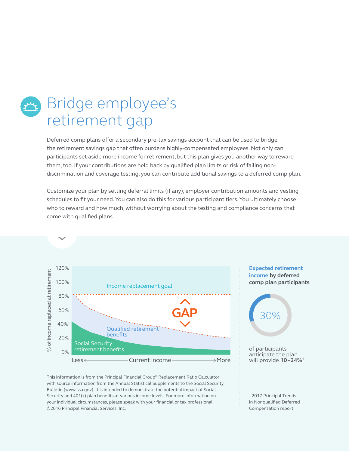# Bridge employee's retirement gap

Deferred comp plans offer a secondary pre-tax savings account that can be used to bridge the retirement savings gap that often burdens highly-compensated employees. Not only can participants set aside more income for retirement, but this plan gives you another way to reward them, too. If your contributions are held back by qualified plan limits or risk of failing nondiscrimination and coverage testing, you can contribute additional savings to a deferred comp plan.

Customize your plan by setting deferral limits (if any), employer contribution amounts and vesting schedules to fit your need. You can also do this for various participant tiers. You ultimately choose who to reward and how much, without worrying about the testing and compliance concerns that come with qualified plans.



This information is from the Principal Financial Group® Replacement Ratio Calculator with source information from the Annual Statistical Supplements to the Social Security Bulletin (www.ssa.gov). It is intended to demonstrate the potential impact of Social Security and 401(k) plan benefits at various income levels. For more information on your individual circumstances, please speak with your financial or tax professional. ©2016 Principal Financial Services, Inc.

### **Expected retirement income by deferred comp plan participants**



of participants anticipate the plan will provide **10–24%1**

1 2017 Principal Trends in Nonqualified Deferred Compensation report.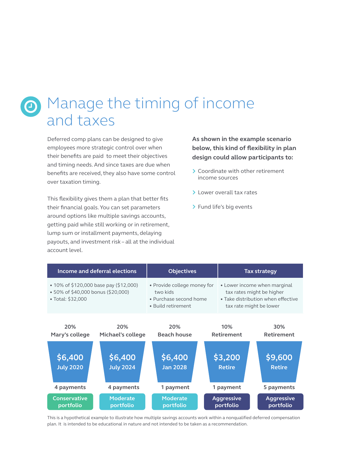# **O** Manage the timing of income and taxes

Deferred comp plans can be designed to give employees more strategic control over when their benefits are paid to meet their objectives and timing needs. And since taxes are due when benefits are received, they also have some control over taxation timing.

This flexibility gives them a plan that better fits their financial goals. You can set parameters around options like multiple savings accounts, getting paid while still working or in retirement, lump sum or installment payments, delaying payouts, and investment risk – all at the individual account level.

**As shown in the example scenario below, this kind of flexibility in plan design could allow participants to:**

- > Coordinate with other retirement income sources
- > Lower overall tax rates
- > Fund life's big events

|                                                                                                    | Income and deferral elections             | <b>Objectives</b>                                                                       |  | <b>Tax strategy</b>                                                                                                        |                                        |  |
|----------------------------------------------------------------------------------------------------|-------------------------------------------|-----------------------------------------------------------------------------------------|--|----------------------------------------------------------------------------------------------------------------------------|----------------------------------------|--|
| • 10% of \$120,000 base pay (\$12,000)<br>• 50% of \$40,000 bonus (\$20,000)<br>• Total: $$32,000$ |                                           | • Provide college money for<br>two kids<br>• Purchase second home<br>• Build retirement |  | • Lower income when marginal<br>tax rates might be higher<br>• Take distribution when effective<br>tax rate might be lower |                                        |  |
| 20%<br>Mary's college                                                                              | 20%<br>Michael's college                  | 20%<br><b>Beach house</b>                                                               |  | 10%<br><b>Retirement</b>                                                                                                   | 30%<br><b>Retirement</b>               |  |
| \$6,400<br><b>July 2020</b><br>4 payments                                                          | \$6,400<br><b>July 2024</b><br>4 payments | \$6,400<br><b>Jan 2028</b><br>1 payment                                                 |  | \$3,200<br><b>Retire</b><br>1 payment                                                                                      | \$9,600<br><b>Retire</b><br>5 payments |  |
| <b>Conservative</b><br>portfolio                                                                   | <b>Moderate</b><br>portfolio              | <b>Moderate</b><br>portfolio                                                            |  | <b>Aggressive</b><br><b>Aggressive</b><br>portfolio<br>portfolio                                                           |                                        |  |

This is a hypothetical example to illustrate how multiple savings accounts work within a nonqualified deferred compensation plan. It is intended to be educational in nature and not intended to be taken as a recommendation.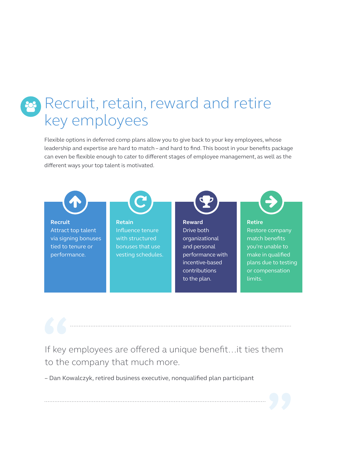# Recruit, retain, reward and retire key employees

Flexible options in deferred comp plans allow you to give back to your key employees, whose leadership and expertise are hard to match – and hard to find. This boost in your benefits package can even be flexible enough to cater to different stages of employee management, as well as the different ways your top talent is motivated.



If key employees are offered a unique benefit…it ties them to the company that much more.

– Dan Kowalczyk, retired business executive, nonqualified plan participant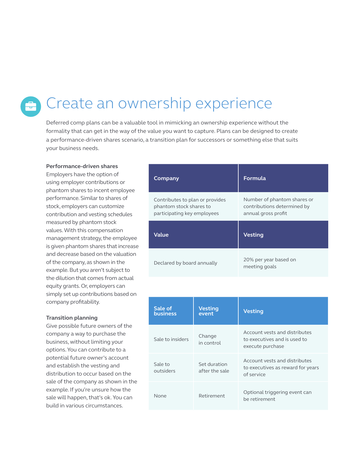# Create an ownership experience

Deferred comp plans can be a valuable tool in mimicking an ownership experience without the formality that can get in the way of the value you want to capture. Plans can be designed to create a performance-driven shares scenario, a transition plan for successors or something else that suits your business needs.

#### **Performance-driven shares**

Employers have the option of using employer contributions or phantom shares to incent employee performance. Similar to shares of stock, employers can customize contribution and vesting schedules measured by phantom stock values. With this compensation management strategy, the employee is given phantom shares that increase and decrease based on the valuation of the company, as shown in the example. But you aren't subject to the dilution that comes from actual equity grants. Or, employers can simply set up contributions based on company profitability.

### **Transition planning**

Give possible future owners of the company a way to purchase the business, without limiting your options. You can contribute to a potential future owner's account and establish the vesting and distribution to occur based on the sale of the company as shown in the example. If you're unsure how the sale will happen, that's ok. You can build in various circumstances.

| Company                                                                                   | Formula                                                                           |  |  |
|-------------------------------------------------------------------------------------------|-----------------------------------------------------------------------------------|--|--|
| Contributes to plan or provides<br>phantom stock shares to<br>participating key employees | Number of phantom shares or<br>contributions determined by<br>annual gross profit |  |  |
| Value                                                                                     | <b>Vesting</b>                                                                    |  |  |
| Declared by board annually                                                                | 20% per year based on                                                             |  |  |

| Sale of<br><b>business</b> | <b>Vesting</b><br>event        | <b>Vesting</b>                                                                    |
|----------------------------|--------------------------------|-----------------------------------------------------------------------------------|
| Sale to insiders           | Change<br>in control           | Account vests and distributes<br>to executives and is used to<br>execute purchase |
| Sale to<br>outsiders       | Set duration<br>after the sale | Account vests and distributes<br>to executives as reward for years<br>of service  |
| None                       | Retirement                     | Optional triggering event can<br>be retirement                                    |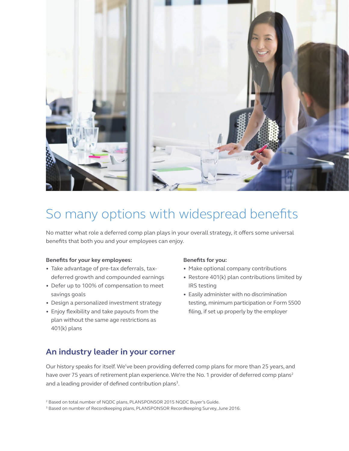

### So many options with widespread benefits

No matter what role a deferred comp plan plays in your overall strategy, it offers some universal benefits that both you and your employees can enjoy.

#### **Benefits for your key employees:**

- Take advantage of pre-tax deferrals, taxdeferred growth and compounded earnings
- Defer up to 100% of compensation to meet savings goals
- Design a personalized investment strategy
- Enjoy flexibility and take payouts from the plan without the same age restrictions as 401(k) plans

#### **Benefits for you:**

- Make optional company contributions
- Restore 401(k) plan contributions limited by IRS testing
- Easily administer with no discrimination testing, minimum participation or Form 5500 filing, if set up properly by the employer

### **An industry leader in your corner**

Our history speaks for itself. We've been providing deferred comp plans for more than 25 years, and have over 75 years of retirement plan experience. We're the No. 1 provider of deferred comp plans<sup>2</sup> and a leading provider of defined contribution plans $^3$ .

<sup>&</sup>lt;sup>2</sup> Based on total number of NQDC plans, PLANSPONSOR 2015 NQDC Buyer's Guide.

<sup>&</sup>lt;sup>3</sup> Based on number of Recordkeeping plans, PLANSPONSOR Recordkeeping Survey, June 2016.